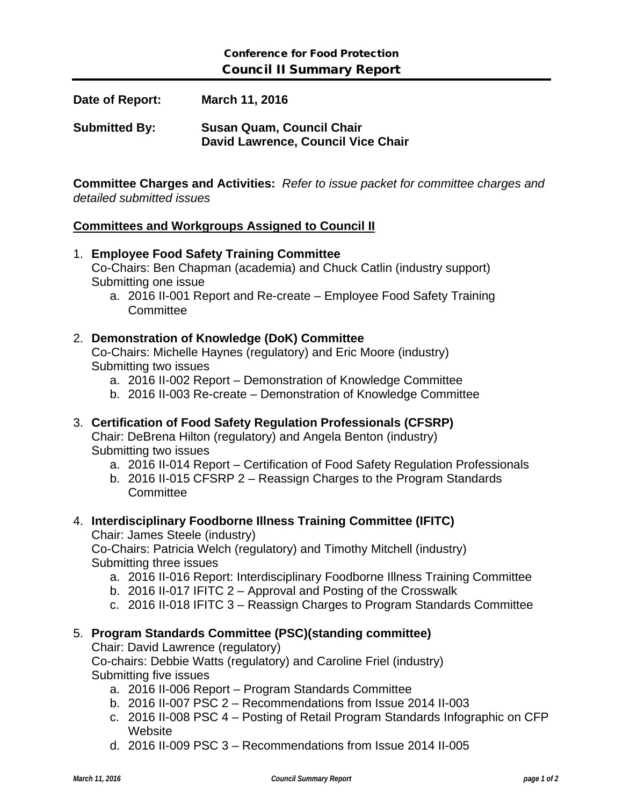**Date of Report: March 11, 2016**

**Submitted By: Susan Quam, Council Chair David Lawrence, Council Vice Chair**

**Committee Charges and Activities:** *Refer to issue packet for committee charges and detailed submitted issues*

### **Committees and Workgroups Assigned to Council II**

1. **Employee Food Safety Training Committee** Co-Chairs: Ben Chapman (academia) and Chuck Catlin (industry support) Submitting one issue a. 2016 II-001 Report and Re-create – Employee Food Safety Training **Committee** 2. **Demonstration of Knowledge (DoK) Committee**

Co-Chairs: Michelle Haynes (regulatory) and Eric Moore (industry) Submitting two issues

- a. 2016 II-002 Report Demonstration of Knowledge Committee
- b. 2016 II-003 Re-create Demonstration of Knowledge Committee

## 3. **Certification of Food Safety Regulation Professionals (CFSRP)**

Chair: DeBrena Hilton (regulatory) and Angela Benton (industry) Submitting two issues

- a. 2016 II-014 Report Certification of Food Safety Regulation Professionals
- b. 2016 II-015 CFSRP 2 Reassign Charges to the Program Standards **Committee**

# 4. **Interdisciplinary Foodborne Illness Training Committee (IFITC)**

Chair: James Steele (industry)

Co-Chairs: Patricia Welch (regulatory) and Timothy Mitchell (industry) Submitting three issues

- a. 2016 II-016 Report: Interdisciplinary Foodborne Illness Training Committee
- b. 2016 II-017 IFITC 2 Approval and Posting of the Crosswalk
- c. 2016 II-018 IFITC 3 Reassign Charges to Program Standards Committee

## 5. **Program Standards Committee (PSC)(standing committee)**

Chair: David Lawrence (regulatory)

Co-chairs: Debbie Watts (regulatory) and Caroline Friel (industry) Submitting five issues

- a. 2016 II-006 Report Program Standards Committee
- b. 2016 II-007 PSC 2 Recommendations from Issue 2014 II-003
- c. 2016 II-008 PSC 4 Posting of Retail Program Standards Infographic on CFP **Website**
- d. 2016 II-009 PSC 3 Recommendations from Issue 2014 II-005